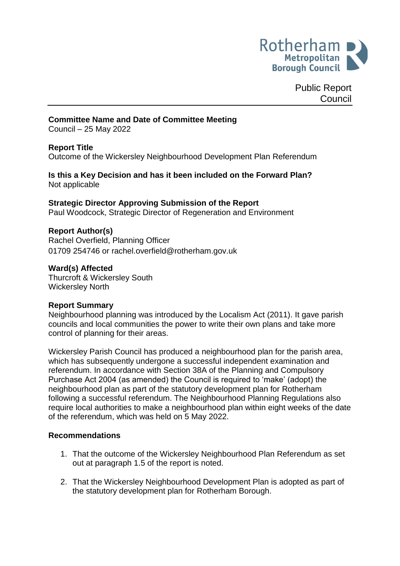

Public Report **Council** 

## **Committee Name and Date of Committee Meeting**

Council – 25 May 2022

#### **Report Title**

Outcome of the Wickersley Neighbourhood Development Plan Referendum

#### **Is this a Key Decision and has it been included on the Forward Plan?** Not applicable

# **Strategic Director Approving Submission of the Report**

Paul Woodcock, Strategic Director of Regeneration and Environment

## **Report Author(s)**

<span id="page-0-0"></span>Rachel Overfield, Planning Officer 01709 254746 or rachel.overfield@rotherham.gov.uk

#### **Ward(s) Affected**

Thurcroft & Wickersley South Wickersley North

#### **Report Summary**

Neighbourhood planning was introduced by the Localism Act (2011). It gave parish councils and local communities the power to write their own plans and take more control of planning for their areas.

Wickersley Parish Council has produced a neighbourhood plan for the parish area, which has subsequently undergone a successful independent examination and referendum. In accordance with Section 38A of the Planning and Compulsory Purchase Act 2004 (as amended) the Council is required to 'make' (adopt) the neighbourhood plan as part of the statutory development plan for Rotherham following a successful referendum. The Neighbourhood Planning Regulations also require local authorities to make a neighbourhood plan within eight weeks of the date of the referendum, which was held on 5 May 2022.

#### **Recommendations**

- 1. That the outcome of the Wickersley Neighbourhood Plan Referendum as set out at paragraph 1.5 of the report is noted.
- 2. That the Wickersley Neighbourhood Development Plan is adopted as part of the statutory development plan for Rotherham Borough.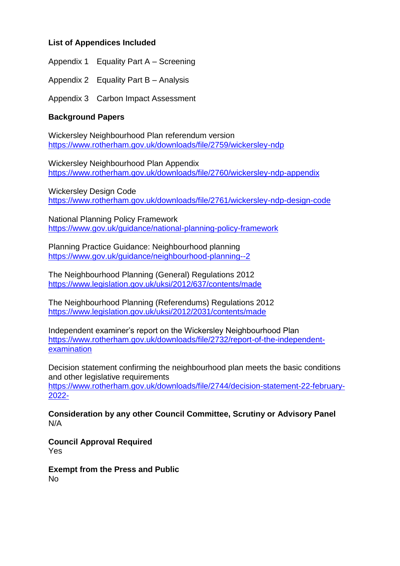# **List of Appendices Included**

Appendix 1 Equality Part A – Screening

Appendix 2 Equality Part B – Analysis

Appendix 3 Carbon Impact Assessment

## **Background Papers**

Wickersley Neighbourhood Plan referendum version <https://www.rotherham.gov.uk/downloads/file/2759/wickersley-ndp>

Wickersley Neighbourhood Plan Appendix <https://www.rotherham.gov.uk/downloads/file/2760/wickersley-ndp-appendix>

Wickersley Design Code <https://www.rotherham.gov.uk/downloads/file/2761/wickersley-ndp-design-code>

National Planning Policy Framework <https://www.gov.uk/guidance/national-planning-policy-framework>

Planning Practice Guidance: Neighbourhood planning <https://www.gov.uk/guidance/neighbourhood-planning--2>

The Neighbourhood Planning (General) Regulations 2012 <https://www.legislation.gov.uk/uksi/2012/637/contents/made>

The Neighbourhood Planning (Referendums) Regulations 2012 <https://www.legislation.gov.uk/uksi/2012/2031/contents/made>

Independent examiner's report on the Wickersley Neighbourhood Plan [https://www.rotherham.gov.uk/downloads/file/2732/report-of-the-independent](https://www.rotherham.gov.uk/downloads/file/2732/report-of-the-independent-examination)[examination](https://www.rotherham.gov.uk/downloads/file/2732/report-of-the-independent-examination)

Decision statement confirming the neighbourhood plan meets the basic conditions and other legislative requirements

[https://www.rotherham.gov.uk/downloads/file/2744/decision-statement-22-february-](https://www.rotherham.gov.uk/downloads/file/2744/decision-statement-22-february-2022-)[2022-](https://www.rotherham.gov.uk/downloads/file/2744/decision-statement-22-february-2022-)

**Consideration by any other Council Committee, Scrutiny or Advisory Panel** N/A

**Council Approval Required** Yes

**Exempt from the Press and Public** No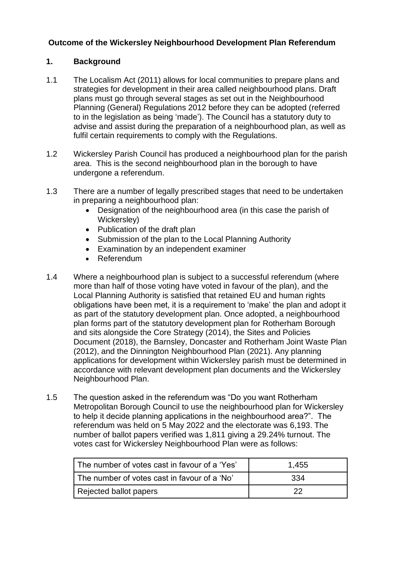# **Outcome of the Wickersley Neighbourhood Development Plan Referendum**

## **1. Background**

- 1.1 The Localism Act (2011) allows for local communities to prepare plans and strategies for development in their area called neighbourhood plans. Draft plans must go through several stages as set out in the Neighbourhood Planning (General) Regulations 2012 before they can be adopted (referred to in the legislation as being 'made'). The Council has a statutory duty to advise and assist during the preparation of a neighbourhood plan, as well as fulfil certain requirements to comply with the Regulations.
- 1.2 Wickersley Parish Council has produced a neighbourhood plan for the parish area. This is the second neighbourhood plan in the borough to have undergone a referendum.
- 1.3 There are a number of legally prescribed stages that need to be undertaken in preparing a neighbourhood plan:
	- Designation of the neighbourhood area (in this case the parish of Wickersley)
	- Publication of the draft plan
	- Submission of the plan to the Local Planning Authority
	- Examination by an independent examiner
	- Referendum
- 1.4 Where a neighbourhood plan is subject to a successful referendum (where more than half of those voting have voted in favour of the plan), and the Local Planning Authority is satisfied that retained EU and human rights obligations have been met, it is a requirement to 'make' the plan and adopt it as part of the statutory development plan. Once adopted, a neighbourhood plan forms part of the statutory development plan for Rotherham Borough and sits alongside the Core Strategy (2014), the Sites and Policies Document (2018), the Barnsley, Doncaster and Rotherham Joint Waste Plan (2012), and the Dinnington Neighbourhood Plan (2021). Any planning applications for development within Wickersley parish must be determined in accordance with relevant development plan documents and the Wickersley Neighbourhood Plan.
- 1.5 The question asked in the referendum was "Do you want Rotherham Metropolitan Borough Council to use the neighbourhood plan for Wickersley to help it decide planning applications in the neighbourhood area?". The referendum was held on 5 May 2022 and the electorate was 6,193. The number of ballot papers verified was 1,811 giving a 29.24% turnout. The votes cast for Wickersley Neighbourhood Plan were as follows:

| The number of votes cast in favour of a 'Yes' | 1,455 |
|-----------------------------------------------|-------|
| The number of votes cast in favour of a 'No'  | 334   |
| Rejected ballot papers                        | つつ    |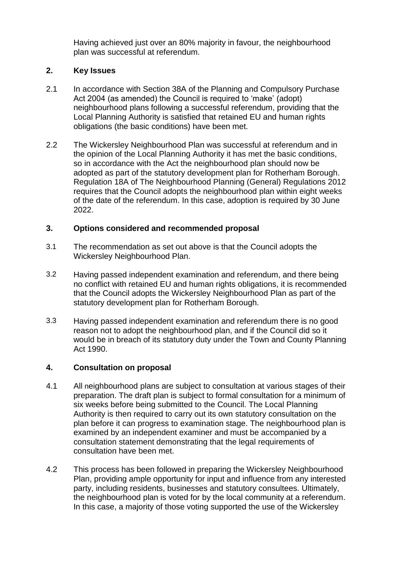Having achieved just over an 80% majority in favour, the neighbourhood plan was successful at referendum.

# **2. Key Issues**

- 2.1 In accordance with Section 38A of the Planning and Compulsory Purchase Act 2004 (as amended) the Council is required to 'make' (adopt) neighbourhood plans following a successful referendum, providing that the Local Planning Authority is satisfied that retained EU and human rights obligations (the basic conditions) have been met.
- 2.2 The Wickersley Neighbourhood Plan was successful at referendum and in the opinion of the Local Planning Authority it has met the basic conditions, so in accordance with the Act the neighbourhood plan should now be adopted as part of the statutory development plan for Rotherham Borough. Regulation 18A of The Neighbourhood Planning (General) Regulations 2012 requires that the Council adopts the neighbourhood plan within eight weeks of the date of the referendum. In this case, adoption is required by 30 June 2022.

## **3. Options considered and recommended proposal**

- 3.1 The recommendation as set out above is that the Council adopts the Wickersley Neighbourhood Plan.
- 3.2 Having passed independent examination and referendum, and there being no conflict with retained EU and human rights obligations, it is recommended that the Council adopts the Wickersley Neighbourhood Plan as part of the statutory development plan for Rotherham Borough.
- 3.3 Having passed independent examination and referendum there is no good reason not to adopt the neighbourhood plan, and if the Council did so it would be in breach of its statutory duty under the Town and County Planning Act 1990.

# **4. Consultation on proposal**

- 4.1 All neighbourhood plans are subject to consultation at various stages of their preparation. The draft plan is subject to formal consultation for a minimum of six weeks before being submitted to the Council. The Local Planning Authority is then required to carry out its own statutory consultation on the plan before it can progress to examination stage. The neighbourhood plan is examined by an independent examiner and must be accompanied by a consultation statement demonstrating that the legal requirements of consultation have been met.
- 4.2 This process has been followed in preparing the Wickersley Neighbourhood Plan, providing ample opportunity for input and influence from any interested party, including residents, businesses and statutory consultees. Ultimately, the neighbourhood plan is voted for by the local community at a referendum. In this case, a majority of those voting supported the use of the Wickersley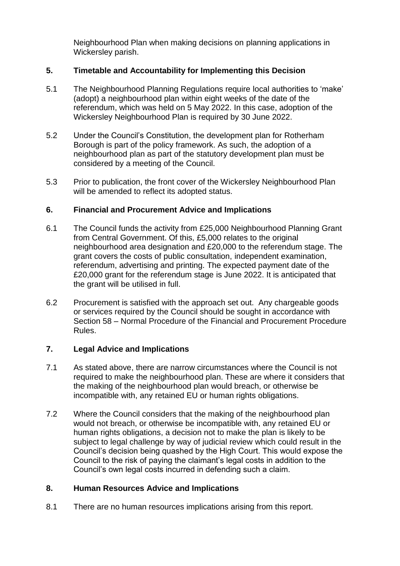Neighbourhood Plan when making decisions on planning applications in Wickersley parish.

# **5. Timetable and Accountability for Implementing this Decision**

- 5.1 The Neighbourhood Planning Regulations require local authorities to 'make' (adopt) a neighbourhood plan within eight weeks of the date of the referendum, which was held on 5 May 2022. In this case, adoption of the Wickersley Neighbourhood Plan is required by 30 June 2022.
- 5.2 Under the Council's Constitution, the development plan for Rotherham Borough is part of the policy framework. As such, the adoption of a neighbourhood plan as part of the statutory development plan must be considered by a meeting of the Council.
- 5.3 Prior to publication, the front cover of the Wickersley Neighbourhood Plan will be amended to reflect its adopted status.

## **6. Financial and Procurement Advice and Implications**

- 6.1 The Council funds the activity from £25,000 Neighbourhood Planning Grant from Central Government. Of this, £5,000 relates to the original neighbourhood area designation and £20,000 to the referendum stage. The grant covers the costs of public consultation, independent examination, referendum, advertising and printing. The expected payment date of the £20,000 grant for the referendum stage is June 2022. It is anticipated that the grant will be utilised in full.
- 6.2 Procurement is satisfied with the approach set out. Any chargeable goods or services required by the Council should be sought in accordance with Section 58 – Normal Procedure of the Financial and Procurement Procedure Rules.

## **7. Legal Advice and Implications**

- 7.1 As stated above, there are narrow circumstances where the Council is not required to make the neighbourhood plan. These are where it considers that the making of the neighbourhood plan would breach, or otherwise be incompatible with, any retained EU or human rights obligations.
- 7.2 Where the Council considers that the making of the neighbourhood plan would not breach, or otherwise be incompatible with, any retained EU or human rights obligations, a decision not to make the plan is likely to be subject to legal challenge by way of judicial review which could result in the Council's decision being quashed by the High Court. This would expose the Council to the risk of paying the claimant's legal costs in addition to the Council's own legal costs incurred in defending such a claim.

## **8. Human Resources Advice and Implications**

8.1 There are no human resources implications arising from this report.